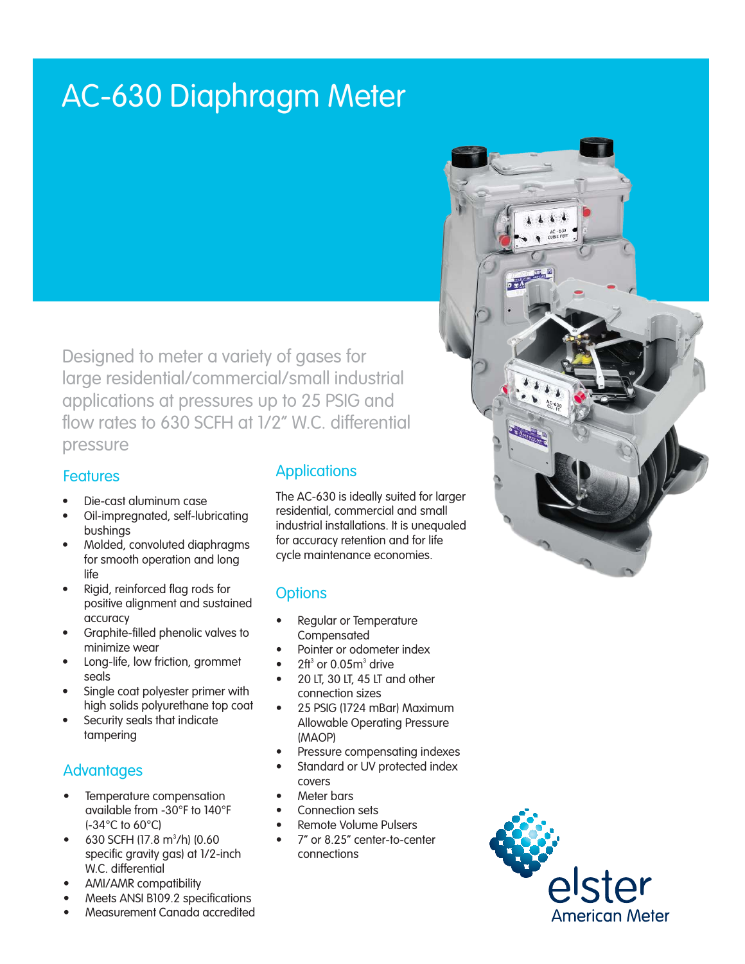# AC-630 Diaphragm Meter

Designed to meter a variety of gases for large residential/commercial/small industrial applications at pressures up to 25 PSIG and flow rates to 630 SCFH at 1/2" W.C. differential pressure

#### **Features**

- Die-cast aluminum case
- Oil-impregnated, self-lubricating bushings
- Molded, convoluted diaphragms for smooth operation and long life
- Rigid, reinforced flag rods for positive alignment and sustained accuracy
- Graphite-filled phenolic valves to minimize wear
- Long-life, low friction, grommet seals
- Single coat polyester primer with high solids polyurethane top coat
- Security seals that indicate tampering

### **Advantages**

- Temperature compensation available from -30°F to 140°F (-34°C to 60°C)
- $\bullet$  630 SCFH (17.8 m<sup>3</sup>/h) (0.60 specific gravity gas) at 1/2-inch W.C. differential
- AMI/AMR compatibility
- Meets ANSI B109.2 specifications

### **Applications**

The AC-630 is ideally suited for larger residential, commercial and small industrial installations. It is unequaled for accuracy retention and for life cycle maintenance economies.

### **Options**

- Regular or Temperature Compensated
- Pointer or odometer index
- $2\text{ft}^3$  or 0.05 $\text{m}^3$  drive
- 20 LT, 30 LT, 45 LT and other connection sizes
- 25 PSIG (1724 mBar) Maximum Allowable Operating Pressure (MAOP)
- Pressure compensating indexes
- Standard or UV protected index covers
- Meter bars
- Connection sets
- **Remote Volume Pulsers**
- 7" or 8.25" center-to-center connections





Measurement Canada accredited